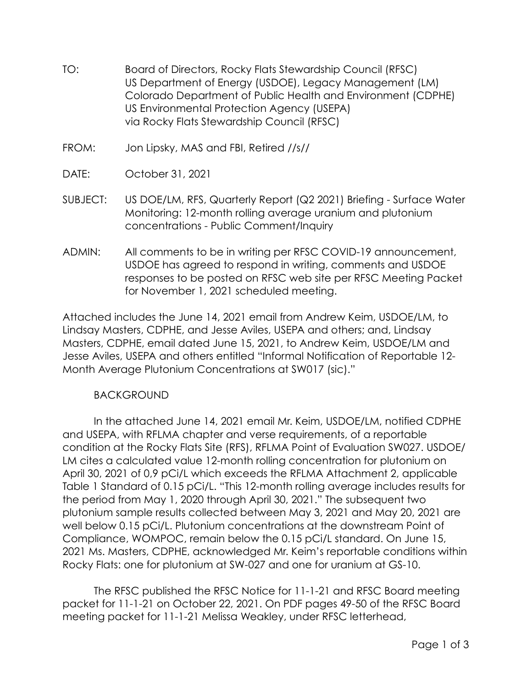- TO: Board of Directors, Rocky Flats Stewardship Council (RFSC) US Department of Energy (USDOE), Legacy Management (LM) Colorado Department of Public Health and Environment (CDPHE) US Environmental Protection Agency (USEPA) via Rocky Flats Stewardship Council (RFSC)
- FROM: Jon Lipsky, MAS and FBI, Retired //s//
- DATE: October 31, 2021
- SUBJECT: US DOE/LM, RFS, Quarterly Report (Q2 2021) Briefing Surface Water Monitoring: 12-month rolling average uranium and plutonium concentrations - Public Comment/Inquiry
- ADMIN: All comments to be in writing per RFSC COVID-19 announcement, USDOE has agreed to respond in writing, comments and USDOE responses to be posted on RFSC web site per RFSC Meeting Packet for November 1, 2021 scheduled meeting.

Attached includes the June 14, 2021 email from Andrew Keim, USDOE/LM, to Lindsay Masters, CDPHE, and Jesse Aviles, USEPA and others; and, Lindsay Masters, CDPHE, email dated June 15, 2021, to Andrew Keim, USDOE/LM and Jesse Aviles, USEPA and others entitled "Informal Notification of Reportable 12- Month Average Plutonium Concentrations at SW017 (sic)."

# **BACKGROUND**

In the attached June 14, 2021 email Mr. Keim, USDOE/LM, notified CDPHE and USEPA, with RFLMA chapter and verse requirements, of a reportable condition at the Rocky Flats Site (RFS), RFLMA Point of Evaluation SW027. USDOE/ LM cites a calculated value 12-month rolling concentration for plutonium on April 30, 2021 of 0,9 pCi/L which exceeds the RFLMA Attachment 2, applicable Table 1 Standard of 0.15 pCi/L. "This 12-month rolling average includes results for the period from May 1, 2020 through April 30, 2021." The subsequent two plutonium sample results collected between May 3, 2021 and May 20, 2021 are well below 0.15 pCi/L. Plutonium concentrations at the downstream Point of Compliance, WOMPOC, remain below the 0.15 pCi/L standard. On June 15, 2021 Ms. Masters, CDPHE, acknowledged Mr. Keim's reportable conditions within Rocky Flats: one for plutonium at SW-027 and one for uranium at GS-10.

The RFSC published the RFSC Notice for 11-1-21 and RFSC Board meeting packet for 11-1-21 on October 22, 2021. On PDF pages 49-50 of the RFSC Board meeting packet for 11-1-21 Melissa Weakley, under RFSC letterhead,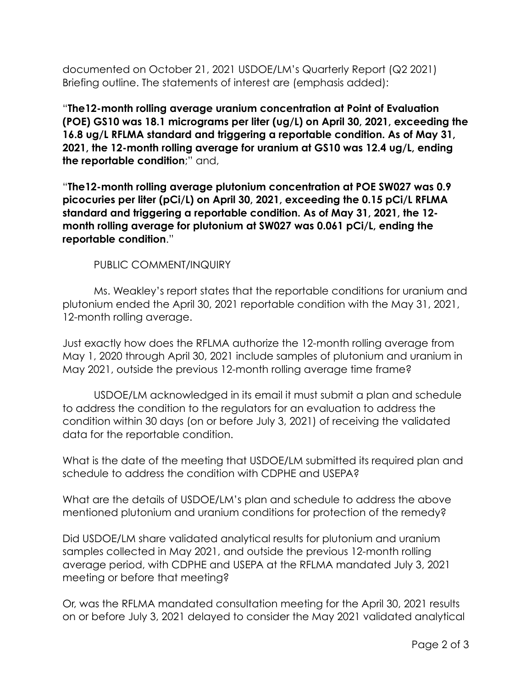documented on October 21, 2021 USDOE/LM's Quarterly Report (Q2 2021) Briefing outline. The statements of interest are (emphasis added):

"**The12-month rolling average uranium concentration at Point of Evaluation (POE) GS10 was 18.1 micrograms per liter (ug/L) on April 30, 2021, exceeding the 16.8 ug/L RFLMA standard and triggering a reportable condition. As of May 31, 2021, the 12-month rolling average for uranium at GS10 was 12.4 ug/L, ending the reportable condition**;" and,

"**The12-month rolling average plutonium concentration at POE SW027 was 0.9 picocuries per liter (pCi/L) on April 30, 2021, exceeding the 0.15 pCi/L RFLMA standard and triggering a reportable condition. As of May 31, 2021, the 12 month rolling average for plutonium at SW027 was 0.061 pCi/L, ending the reportable condition**."

PUBLIC COMMENT/INQUIRY

Ms. Weakley's report states that the reportable conditions for uranium and plutonium ended the April 30, 2021 reportable condition with the May 31, 2021, 12-month rolling average.

Just exactly how does the RFLMA authorize the 12-month rolling average from May 1, 2020 through April 30, 2021 include samples of plutonium and uranium in May 2021, outside the previous 12-month rolling average time frame?

USDOE/LM acknowledged in its email it must submit a plan and schedule to address the condition to the regulators for an evaluation to address the condition within 30 days (on or before July 3, 2021) of receiving the validated data for the reportable condition.

What is the date of the meeting that USDOE/LM submitted its required plan and schedule to address the condition with CDPHE and USEPA?

What are the details of USDOE/LM's plan and schedule to address the above mentioned plutonium and uranium conditions for protection of the remedy?

Did USDOE/LM share validated analytical results for plutonium and uranium samples collected in May 2021, and outside the previous 12-month rolling average period, with CDPHE and USEPA at the RFLMA mandated July 3, 2021 meeting or before that meeting?

Or, was the RFLMA mandated consultation meeting for the April 30, 2021 results on or before July 3, 2021 delayed to consider the May 2021 validated analytical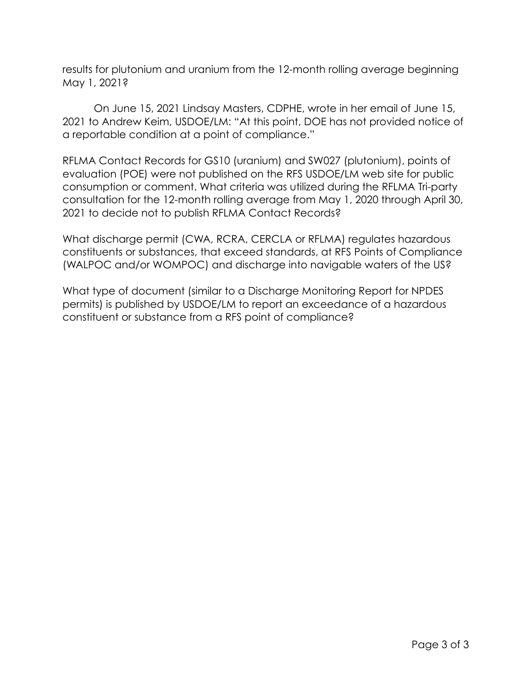results for plutonium and uranium from the 12-month rolling average beginning May 1, 2021?

On June 15, 2021 Lindsay Masters, CDPHE, wrote in her email of June 15, 2021 to Andrew Keim, USDOE/LM: "At this point, DOE has not provided notice of a reportable condition at a point of compliance."

RFLMA Contact Records for GS10 (uranium) and SW027 (plutonium), points of evaluation (POE) were not published on the RFS USDOE/LM web site for public consumption or comment. What criteria was utilized during the RFLMA Tri-party consultation for the 12-month rolling average from May 1, 2020 through April 30, 2021 to decide not to publish RFLMA Contact Records?

What discharge permit (CWA, RCRA, CERCLA or RFLMA) regulates hazardous constituents or substances, that exceed standards, at RFS Points of Compliance (WALPOC and/or WOMPOC) and discharge into navigable waters of the US?

What type of document (similar to a Discharge Monitoring Report for NPDES permits) is published by USDOE/LM to report an exceedance of a hazardous constituent or substance from a RFS point of compliance?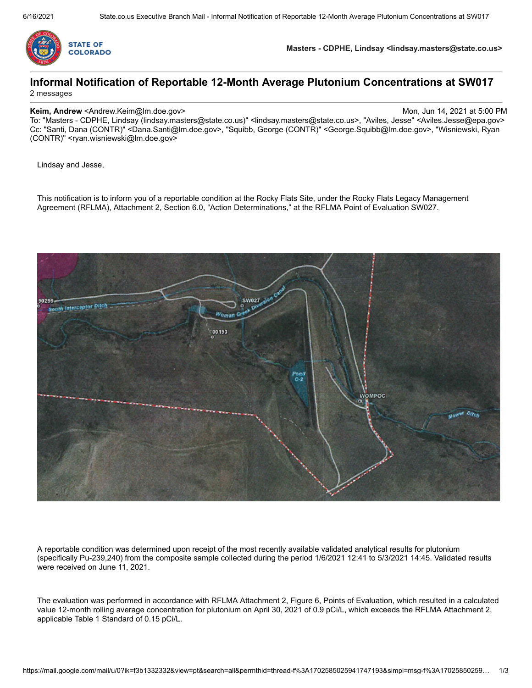

**Masters - CDPHE, Lindsay <lindsay.masters@state.co.us>**

## **Informal Notification of Reportable 12-Month Average Plutonium Concentrations at SW017** 2 messages

#### **Keim, Andrew** <Andrew.Keim@lm.doe.gov> Mon, Jun 14, 2021 at 5:00 PM

To: "Masters - CDPHE, Lindsay (lindsay.masters@state.co.us)" <lindsay.masters@state.co.us>, "Aviles, Jesse" <Aviles.Jesse@epa.gov> Cc: "Santi, Dana (CONTR)" <Dana.Santi@lm.doe.gov>, "Squibb, George (CONTR)" <George.Squibb@lm.doe.gov>, "Wisniewski, Ryan (CONTR)" <ryan.wisniewski@lm.doe.gov>

Lindsay and Jesse,

This notification is to inform you of a reportable condition at the Rocky Flats Site, under the Rocky Flats Legacy Management Agreement (RFLMA), Attachment 2, Section 6.0, "Action Determinations," at the RFLMA Point of Evaluation SW027.



A reportable condition was determined upon receipt of the most recently available validated analytical results for plutonium (specifically Pu-239,240) from the composite sample collected during the period 1/6/2021 12:41 to 5/3/2021 14:45. Validated results were received on June 11, 2021.

The evaluation was performed in accordance with RFLMA Attachment 2, Figure 6, Points of Evaluation, which resulted in a calculated value 12-month rolling average concentration for plutonium on April 30, 2021 of 0.9 pCi/L, which exceeds the RFLMA Attachment 2, applicable Table 1 Standard of 0.15 pCi/L.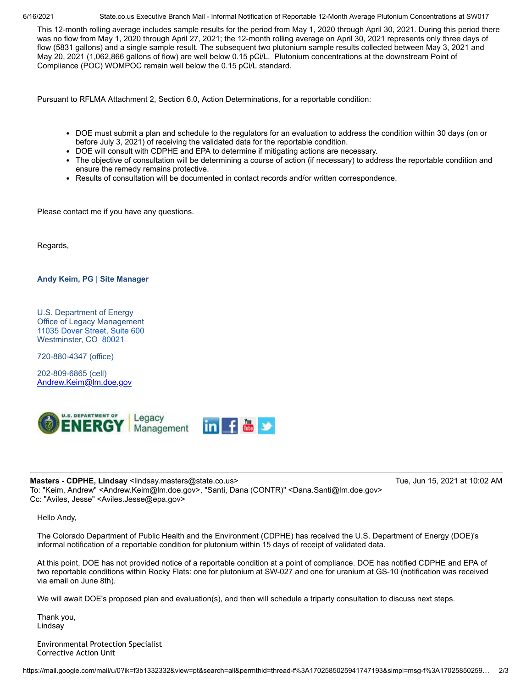6/16/2021 State.co.us Executive Branch Mail - Informal Notification of Reportable 12-Month Average Plutonium Concentrations at SW017

This 12-month rolling average includes sample results for the period from May 1, 2020 through April 30, 2021. During this period there was no flow from May 1, 2020 through April 27, 2021; the 12-month rolling average on April 30, 2021 represents only three days of flow (5831 gallons) and a single sample result. The subsequent two plutonium sample results collected between May 3, 2021 and May 20, 2021 (1,062,866 gallons of flow) are well below 0.15 pCi/L. Plutonium concentrations at the downstream Point of Compliance (POC) WOMPOC remain well below the 0.15 pCi/L standard.

Pursuant to RFLMA Attachment 2, Section 6.0, Action Determinations, for a reportable condition:

- DOE must submit a plan and schedule to the regulators for an evaluation to address the condition within 30 days (on or before July 3, 2021) of receiving the validated data for the reportable condition.
- DOE will consult with CDPHE and EPA to determine if mitigating actions are necessary.
- The objective of consultation will be determining a course of action (if necessary) to address the reportable condition and ensure the remedy remains protective.
- Results of consultation will be documented in contact records and/or written correspondence.

Please contact me if you have any questions.

Regards,

### **Andy Keim, PG** | **Site Manager**

U.S. Department of Energy Office of Legacy Management 11035 Dover [Street,](https://www.google.com/maps/search/11035+Dover+Street,+Suite+600+%0D%0AWestminster,+CO+80021?entry=gmail&source=g) Suite 600 Westminster, CO [80021](https://www.google.com/maps/search/11035+Dover+Street,+Suite+600+%0D%0AWestminster,+CO+80021?entry=gmail&source=g)

720-880-4347 (office)

202-809-6865 (cell) [Andrew.Keim@lm.doe.gov](mailto:Andrew.Keim@lm.doe.gov)



#### **Masters - CDPHE, Lindsay** <lindsay.masters@state.co.us> Tue, Jun 15, 2021 at 10:02 AM

To: "Keim, Andrew" <Andrew.Keim@lm.doe.gov>, "Santi, Dana (CONTR)" <Dana.Santi@lm.doe.gov> Cc: "Aviles, Jesse" <Aviles.Jesse@epa.gov>

Hello Andy,

The Colorado Department of Public Health and the Environment (CDPHE) has received the U.S. Department of Energy (DOE)'s informal notification of a reportable condition for plutonium within 15 days of receipt of validated data.

At this point, DOE has not provided notice of a reportable condition at a point of compliance. DOE has notified CDPHE and EPA of two reportable conditions within Rocky Flats: one for plutonium at SW-027 and one for uranium at GS-10 (notification was received via email on June 8th).

We will await DOE's proposed plan and evaluation(s), and then will schedule a triparty consultation to discuss next steps.

Thank you, Lindsay

Environmental Protection Specialist Corrective Action Unit